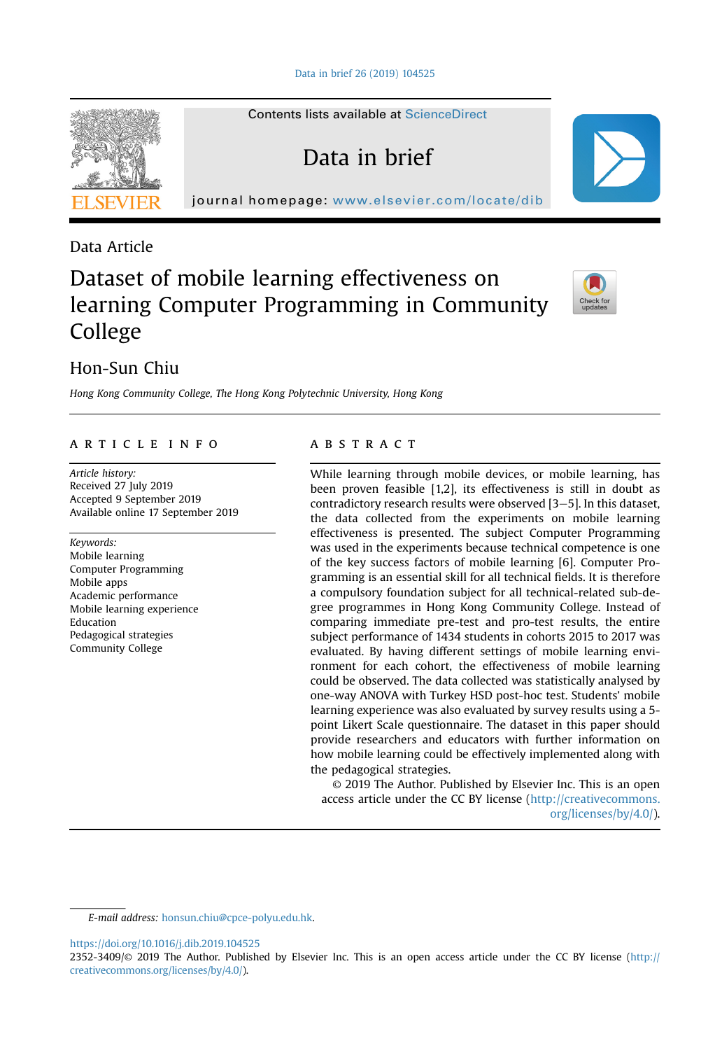Contents lists available at [ScienceDirect](www.sciencedirect.com/science/journal/23523409)

Data in brief

journal homepage: <www.elsevier.com/locate/dib>



Data Article

# Dataset of mobile learning effectiveness on learning Computer Programming in Community College



# Hon-Sun Chiu

Hong Kong Community College, The Hong Kong Polytechnic University, Hong Kong

### article info

Article history: Received 27 July 2019 Accepted 9 September 2019 Available online 17 September 2019

#### Keywords:

Mobile learning Computer Programming Mobile apps Academic performance Mobile learning experience Education Pedagogical strategies Community College

# **ABSTRACT**

While learning through mobile devices, or mobile learning, has been proven feasible [1,2], its effectiveness is still in doubt as contradictory research results were observed  $[3-5]$ . In this dataset, the data collected from the experiments on mobile learning effectiveness is presented. The subject Computer Programming was used in the experiments because technical competence is one of the key success factors of mobile learning [6]. Computer Programming is an essential skill for all technical fields. It is therefore a compulsory foundation subject for all technical-related sub-degree programmes in Hong Kong Community College. Instead of comparing immediate pre-test and pro-test results, the entire subject performance of 1434 students in cohorts 2015 to 2017 was evaluated. By having different settings of mobile learning environment for each cohort, the effectiveness of mobile learning could be observed. The data collected was statistically analysed by one-way ANOVA with Turkey HSD post-hoc test. Students' mobile learning experience was also evaluated by survey results using a 5 point Likert Scale questionnaire. The dataset in this paper should provide researchers and educators with further information on how mobile learning could be effectively implemented along with the pedagogical strategies.

© 2019 The Author. Published by Elsevier Inc. This is an open access article under the CC BY license ([http://creativecommons.](http://creativecommons.org/licenses/by/4.0/) [org/licenses/by/4.0/](http://creativecommons.org/licenses/by/4.0/)).

E-mail address: [honsun.chiu@cpce-polyu.edu.hk](mailto:honsun.chiu@cpce-polyu.edu.hk).

<https://doi.org/10.1016/j.dib.2019.104525>

<sup>2352-3409/</sup>© 2019 The Author. Published by Elsevier Inc. This is an open access article under the CC BY license ([http://](http://creativecommons.org/licenses/by/4.0/) [creativecommons.org/licenses/by/4.0/](http://creativecommons.org/licenses/by/4.0/)).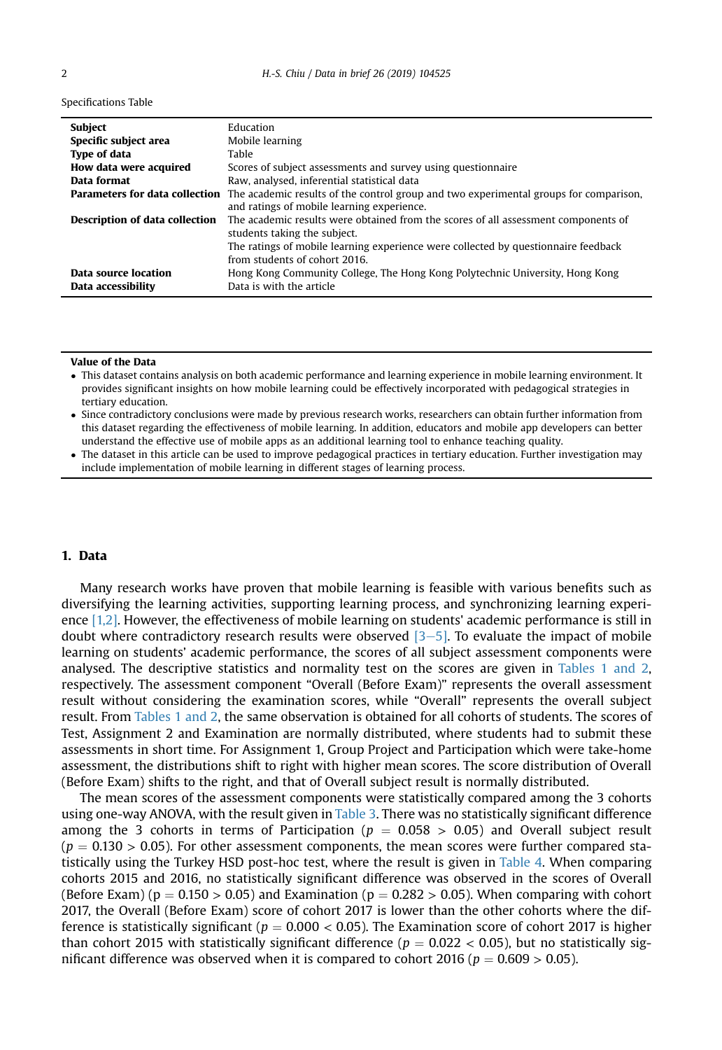#### Specifications Table

| Subject                               | Education                                                                             |
|---------------------------------------|---------------------------------------------------------------------------------------|
| Specific subject area                 | Mobile learning                                                                       |
| <b>Type of data</b>                   | Table                                                                                 |
| How data were acquired                | Scores of subject assessments and survey using questionnaire                          |
| Data format                           | Raw, analysed, inferential statistical data                                           |
| <b>Parameters for data collection</b> | The academic results of the control group and two experimental groups for comparison, |
|                                       | and ratings of mobile learning experience.                                            |
| <b>Description of data collection</b> | The academic results were obtained from the scores of all assessment components of    |
|                                       | students taking the subject.                                                          |
|                                       | The ratings of mobile learning experience were collected by questionnaire feedback    |
|                                       | from students of cohort 2016.                                                         |
| Data source location                  | Hong Kong Community College, The Hong Kong Polytechnic University, Hong Kong          |
| Data accessibility                    | Data is with the article                                                              |

#### Value of the Data

- This dataset contains analysis on both academic performance and learning experience in mobile learning environment. It provides significant insights on how mobile learning could be effectively incorporated with pedagogical strategies in tertiary education.
- Since contradictory conclusions were made by previous research works, researchers can obtain further information from this dataset regarding the effectiveness of mobile learning. In addition, educators and mobile app developers can better understand the effective use of mobile apps as an additional learning tool to enhance teaching quality.
- - The dataset in this article can be used to improve pedagogical practices in tertiary education. Further investigation may include implementation of mobile learning in different stages of learning process.

### 1. Data

Many research works have proven that mobile learning is feasible with various benefits such as diversifying the learning activities, supporting learning process, and synchronizing learning experience [\[1,2\]](#page-6-0). However, the effectiveness of mobile learning on students' academic performance is still in doubt where contradictory research results were observed  $[3-5]$  $[3-5]$ . To evaluate the impact of mobile learning on students' academic performance, the scores of all subject assessment components were analysed. The descriptive statistics and normality test on the scores are given in [Tables 1 and 2](#page-2-0), respectively. The assessment component "Overall (Before Exam)" represents the overall assessment result without considering the examination scores, while "Overall" represents the overall subject result. From [Tables 1 and 2](#page-2-0), the same observation is obtained for all cohorts of students. The scores of Test, Assignment 2 and Examination are normally distributed, where students had to submit these assessments in short time. For Assignment 1, Group Project and Participation which were take-home assessment, the distributions shift to right with higher mean scores. The score distribution of Overall (Before Exam) shifts to the right, and that of Overall subject result is normally distributed.

The mean scores of the assessment components were statistically compared among the 3 cohorts using one-way ANOVA, with the result given in [Table 3.](#page-3-0) There was no statistically significant difference among the 3 cohorts in terms of Participation ( $p = 0.058 > 0.05$ ) and Overall subject result  $(p = 0.130 > 0.05)$ . For other assessment components, the mean scores were further compared statistically using the Turkey HSD post-hoc test, where the result is given in [Table 4](#page-4-0). When comparing cohorts 2015 and 2016, no statistically significant difference was observed in the scores of Overall (Before Exam) ( $p = 0.150 > 0.05$ ) and Examination ( $p = 0.282 > 0.05$ ). When comparing with cohort 2017, the Overall (Before Exam) score of cohort 2017 is lower than the other cohorts where the difference is statistically significant ( $p = 0.000 < 0.05$ ). The Examination score of cohort 2017 is higher than cohort 2015 with statistically significant difference ( $p = 0.022 < 0.05$ ), but no statistically significant difference was observed when it is compared to cohort 2016 ( $p = 0.609 > 0.05$ ).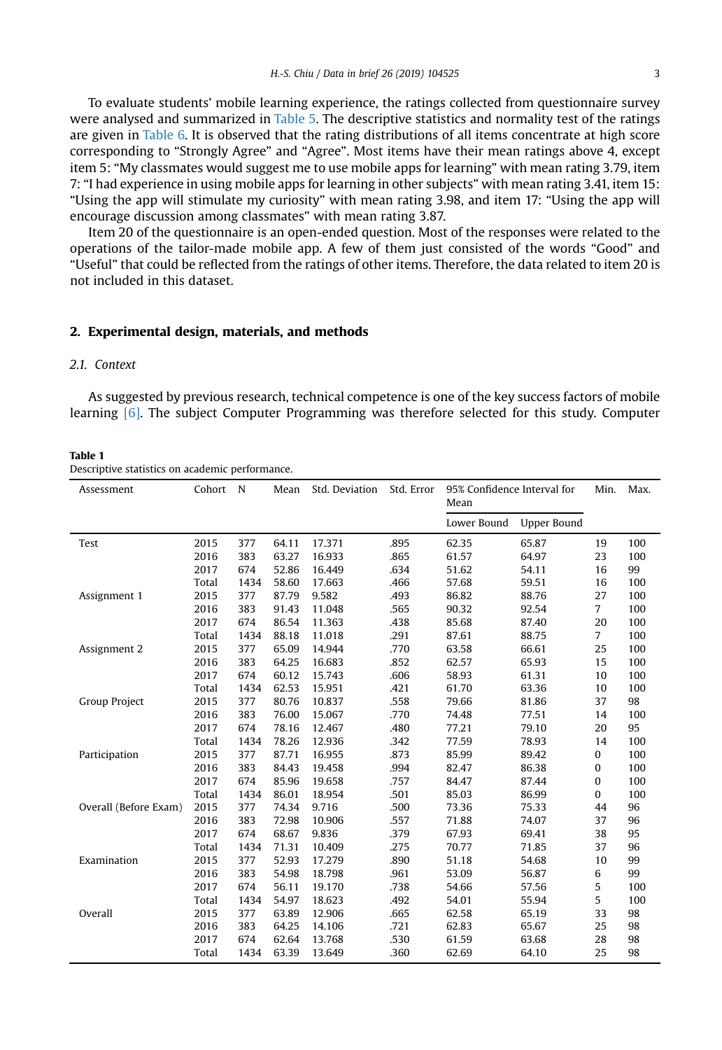<span id="page-2-0"></span>To evaluate students' mobile learning experience, the ratings collected from questionnaire survey were analysed and summarized in [Table 5.](#page-5-0) The descriptive statistics and normality test of the ratings are given in [Table 6.](#page-5-0) It is observed that the rating distributions of all items concentrate at high score corresponding to "Strongly Agree" and "Agree". Most items have their mean ratings above 4, except item 5: "My classmates would suggest me to use mobile apps for learning" with mean rating 3.79, item 7: "I had experience in using mobile apps for learning in other subjects" with mean rating 3.41, item 15: "Using the app will stimulate my curiosity" with mean rating 3.98, and item 17: "Using the app will encourage discussion among classmates" with mean rating 3.87.

Item 20 of the questionnaire is an open-ended question. Most of the responses were related to the operations of the tailor-made mobile app. A few of them just consisted of the words "Good" and "Useful" that could be reflected from the ratings of other items. Therefore, the data related to item 20 is not included in this dataset.

#### 2. Experimental design, materials, and methods

## 2.1. Context

As suggested by previous research, technical competence is one of the key success factors of mobile learning [\[6\].](#page-6-0) The subject Computer Programming was therefore selected for this study. Computer

#### Table 1

Descriptive statistics on academic performance.

| Assessment            | Cohort | N    | Mean  | Std. Deviation | Std. Error | 95% Confidence Interval for<br>Mean |                    | Min.           | Max. |
|-----------------------|--------|------|-------|----------------|------------|-------------------------------------|--------------------|----------------|------|
|                       |        |      |       |                |            | Lower Bound                         | <b>Upper Bound</b> |                |      |
| Test                  | 2015   | 377  | 64.11 | 17.371         | .895       | 62.35                               | 65.87              | 19             | 100  |
|                       | 2016   | 383  | 63.27 | 16.933         | .865       | 61.57                               | 64.97              | 23             | 100  |
|                       | 2017   | 674  | 52.86 | 16.449         | .634       | 51.62                               | 54.11              | 16             | 99   |
|                       | Total  | 1434 | 58.60 | 17.663         | .466       | 57.68                               | 59.51              | 16             | 100  |
| Assignment 1          | 2015   | 377  | 87.79 | 9.582          | .493       | 86.82                               | 88.76              | 27             | 100  |
|                       | 2016   | 383  | 91.43 | 11.048         | .565       | 90.32                               | 92.54              | $\overline{7}$ | 100  |
|                       | 2017   | 674  | 86.54 | 11.363         | .438       | 85.68                               | 87.40              | 20             | 100  |
|                       | Total  | 1434 | 88.18 | 11.018         | .291       | 87.61                               | 88.75              | $\overline{7}$ | 100  |
| Assignment 2          | 2015   | 377  | 65.09 | 14.944         | .770       | 63.58                               | 66.61              | 25             | 100  |
|                       | 2016   | 383  | 64.25 | 16.683         | .852       | 62.57                               | 65.93              | 15             | 100  |
|                       | 2017   | 674  | 60.12 | 15.743         | .606       | 58.93                               | 61.31              | 10             | 100  |
|                       | Total  | 1434 | 62.53 | 15.951         | .421       | 61.70                               | 63.36              | 10             | 100  |
| Group Project         | 2015   | 377  | 80.76 | 10.837         | .558       | 79.66                               | 81.86              | 37             | 98   |
|                       | 2016   | 383  | 76.00 | 15.067         | .770       | 74.48                               | 77.51              | 14             | 100  |
|                       | 2017   | 674  | 78.16 | 12.467         | .480       | 77.21                               | 79.10              | 20             | 95   |
|                       | Total  | 1434 | 78.26 | 12.936         | .342       | 77.59                               | 78.93              | 14             | 100  |
| Participation         | 2015   | 377  | 87.71 | 16.955         | .873       | 85.99                               | 89.42              | 0              | 100  |
|                       | 2016   | 383  | 84.43 | 19.458         | .994       | 82.47                               | 86.38              | 0              | 100  |
|                       | 2017   | 674  | 85.96 | 19.658         | .757       | 84.47                               | 87.44              | 0              | 100  |
|                       | Total  | 1434 | 86.01 | 18.954         | .501       | 85.03                               | 86.99              | 0              | 100  |
| Overall (Before Exam) | 2015   | 377  | 74.34 | 9.716          | .500       | 73.36                               | 75.33              | 44             | 96   |
|                       | 2016   | 383  | 72.98 | 10.906         | .557       | 71.88                               | 74.07              | 37             | 96   |
|                       | 2017   | 674  | 68.67 | 9.836          | .379       | 67.93                               | 69.41              | 38             | 95   |
|                       | Total  | 1434 | 71.31 | 10.409         | .275       | 70.77                               | 71.85              | 37             | 96   |
| Examination           | 2015   | 377  | 52.93 | 17.279         | .890       | 51.18                               | 54.68              | 10             | 99   |
|                       | 2016   | 383  | 54.98 | 18.798         | .961       | 53.09                               | 56.87              | 6              | 99   |
|                       | 2017   | 674  | 56.11 | 19.170         | .738       | 54.66                               | 57.56              | 5              | 100  |
|                       | Total  | 1434 | 54.97 | 18.623         | .492       | 54.01                               | 55.94              | 5              | 100  |
| Overall               | 2015   | 377  | 63.89 | 12.906         | .665       | 62.58                               | 65.19              | 33             | 98   |
|                       | 2016   | 383  | 64.25 | 14.106         | .721       | 62.83                               | 65.67              | 25             | 98   |
|                       | 2017   | 674  | 62.64 | 13.768         | .530       | 61.59                               | 63.68              | 28             | 98   |
|                       | Total  | 1434 | 63.39 | 13.649         | .360       | 62.69                               | 64.10              | 25             | 98   |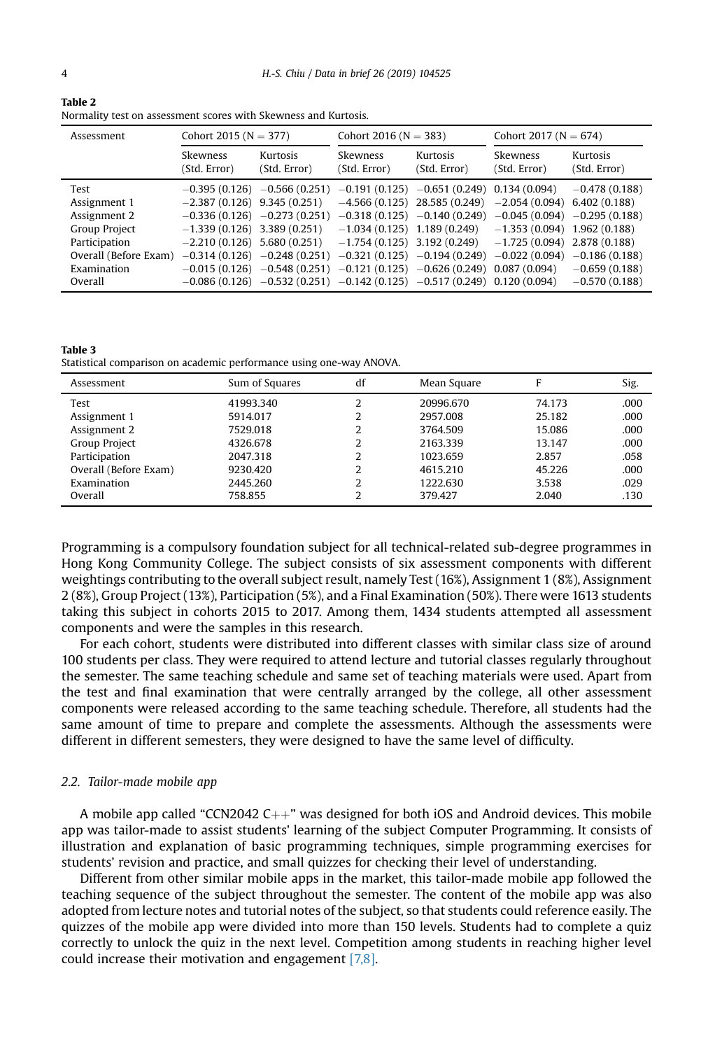<span id="page-3-0"></span>

| Table 2                                                         |
|-----------------------------------------------------------------|
| Normality test on assessment scores with Skewness and Kurtosis. |

| Assessment            | Cohort 2015 ( $N = 377$ )     |                               | Cohort 2016 ( $N = 383$ )       |                                                                                   | Cohort 2017 ( $N = 674$ ) |                          |
|-----------------------|-------------------------------|-------------------------------|---------------------------------|-----------------------------------------------------------------------------------|---------------------------|--------------------------|
|                       | Skewness<br>(Std. Error)      | Kurtosis<br>(Std. Error)      | <b>Skewness</b><br>(Std. Error) | Kurtosis<br>(Std. Error)                                                          | Skewness<br>(Std. Error)  | Kurtosis<br>(Std. Error) |
| Test                  |                               | $-0.395(0.126) -0.566(0.251)$ | $-0.191(0.125)$                 | $-0.651(0.249)$                                                                   | 0.134(0.094)              | $-0.478(0.188)$          |
| Assignment 1          | $-2.387(0.126)$ 9.345 (0.251) |                               |                                 | $-4.566(0.125)$ 28.585 (0.249)                                                    | $-2.054(0.094)$           | 6,402(0.188)             |
| Assignment 2          |                               | $-0.336(0.126) -0.273(0.251)$ |                                 | $-0.318(0.125) -0.140(0.249)$                                                     | $-0.045(0.094)$           | $-0.295(0.188)$          |
| Group Project         |                               | $-1.339(0.126)$ 3.389 (0.251) |                                 | $-1.034(0.125)$ 1.189 (0.249) $-1.353(0.094)$                                     |                           | 1.962(0.188)             |
| Participation         | $-2.210(0.126)$ 5.680 (0.251) |                               |                                 | $-1.754(0.125)$ 3.192 (0.249)                                                     | $-1.725(0.094)$           | 2.878 (0.188)            |
| Overall (Before Exam) |                               | $-0.314(0.126) -0.248(0.251)$ |                                 | $-0.321(0.125) -0.194(0.249)$                                                     | $-0.022(0.094)$           | $-0.186(0.188)$          |
| Examination           |                               |                               |                                 | $-0.015(0.126)$ $-0.548(0.251)$ $-0.121(0.125)$ $-0.626(0.249)$                   | 0.087(0.094)              | $-0.659(0.188)$          |
| Overall               |                               |                               |                                 | $-0.086$ (0.126) $-0.532$ (0.251) $-0.142$ (0.125) $-0.517$ (0.249) 0.120 (0.094) |                           | $-0.570(0.188)$          |

Table 3 Statistical comparison on academic performance using one-way ANOVA.

| Assessment            | Sum of Squares | df | Mean Square | F      | Sig. |
|-----------------------|----------------|----|-------------|--------|------|
| Test                  | 41993.340      |    | 20996.670   | 74.173 | .000 |
| Assignment 1          | 5914.017       |    | 2957.008    | 25.182 | .000 |
| Assignment 2          | 7529.018       |    | 3764.509    | 15.086 | .000 |
| Group Project         | 4326.678       |    | 2163.339    | 13.147 | .000 |
| Participation         | 2047.318       |    | 1023.659    | 2.857  | .058 |
| Overall (Before Exam) | 9230.420       |    | 4615.210    | 45.226 | .000 |
| Examination           | 2445.260       | າ  | 1222.630    | 3.538  | .029 |
| Overall               | 758.855        |    | 379.427     | 2.040  | .130 |

Programming is a compulsory foundation subject for all technical-related sub-degree programmes in Hong Kong Community College. The subject consists of six assessment components with different weightings contributing to the overall subject result, namely Test (16%), Assignment 1 (8%), Assignment 2 (8%), Group Project (13%), Participation (5%), and a Final Examination (50%). There were 1613 students taking this subject in cohorts 2015 to 2017. Among them, 1434 students attempted all assessment components and were the samples in this research.

For each cohort, students were distributed into different classes with similar class size of around 100 students per class. They were required to attend lecture and tutorial classes regularly throughout the semester. The same teaching schedule and same set of teaching materials were used. Apart from the test and final examination that were centrally arranged by the college, all other assessment components were released according to the same teaching schedule. Therefore, all students had the same amount of time to prepare and complete the assessments. Although the assessments were different in different semesters, they were designed to have the same level of difficulty.

#### 2.2. Tailor-made mobile app

A mobile app called "CCN2042  $C_{++}$ " was designed for both iOS and Android devices. This mobile app was tailor-made to assist students' learning of the subject Computer Programming. It consists of illustration and explanation of basic programming techniques, simple programming exercises for students' revision and practice, and small quizzes for checking their level of understanding.

Different from other similar mobile apps in the market, this tailor-made mobile app followed the teaching sequence of the subject throughout the semester. The content of the mobile app was also adopted from lecture notes and tutorial notes of the subject, so that students could reference easily. The quizzes of the mobile app were divided into more than 150 levels. Students had to complete a quiz correctly to unlock the quiz in the next level. Competition among students in reaching higher level could increase their motivation and engagement [\[7,8\]](#page-6-0).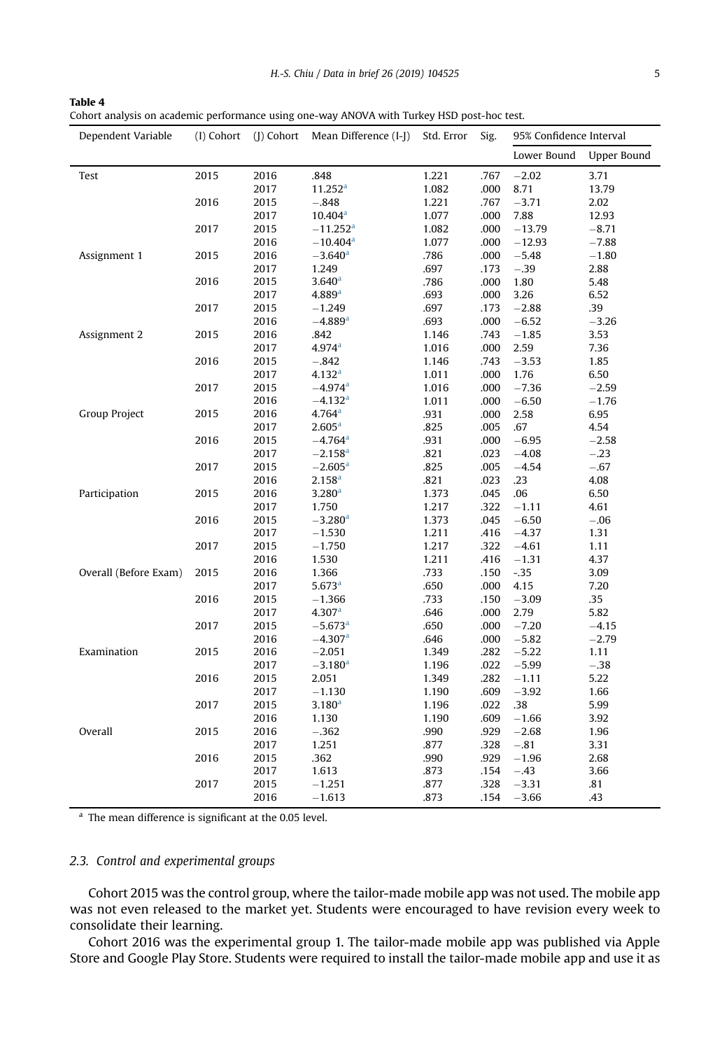<span id="page-4-0"></span>

| Table 4                                                                                    |
|--------------------------------------------------------------------------------------------|
| Cohort analysis on academic performance using one-way ANOVA with Turkey HSD post-hoc test. |

| Dependent Variable    | (I) Cohort | (J) Cohort | Mean Difference (I-J)  | Std. Error | Sig. | 95% Confidence Interval |                    |
|-----------------------|------------|------------|------------------------|------------|------|-------------------------|--------------------|
|                       |            |            |                        |            |      | Lower Bound             | <b>Upper Bound</b> |
| Test                  | 2015       | 2016       | .848                   | 1.221      | .767 | $-2.02$                 | 3.71               |
|                       |            | 2017       | 11.252 <sup>a</sup>    | 1.082      | .000 | 8.71                    | 13.79              |
|                       | 2016       | 2015       | $-.848$                | 1.221      | .767 | $-3.71$                 | 2.02               |
|                       |            | 2017       | 10.404 <sup>a</sup>    | 1.077      | .000 | 7.88                    | 12.93              |
|                       | 2017       | 2015       | $-11.252$ <sup>a</sup> | 1.082      | .000 | $-13.79$                | $-8.71$            |
|                       |            | 2016       | $-10.404$ <sup>a</sup> | 1.077      | .000 | $-12.93$                | $-7.88$            |
| Assignment 1          | 2015       | 2016       | $-3.640$ <sup>a</sup>  | .786       | .000 | $-5.48$                 | $-1.80$            |
|                       |            | 2017       | 1.249                  | .697       | .173 | $-.39$                  | 2.88               |
|                       | 2016       | 2015       | 3.640 <sup>a</sup>     | .786       | .000 | 1.80                    | 5.48               |
|                       |            | 2017       | 4.889 <sup>a</sup>     | .693       | .000 | 3.26                    | 6.52               |
|                       | 2017       | 2015       | $-1.249$               | .697       | .173 | $-2.88$                 | .39                |
|                       |            | 2016       | $-4.889$ <sup>a</sup>  | .693       | .000 | $-6.52$                 | $-3.26$            |
| Assignment 2          | 2015       | 2016       | .842                   | 1.146      | .743 | $-1.85$                 | 3.53               |
|                       |            | 2017       | $4.974$ <sup>a</sup>   | 1.016      | .000 | 2.59                    | 7.36               |
|                       | 2016       | 2015       | $-.842$                | 1.146      | .743 | $-3.53$                 | 1.85               |
|                       |            | 2017       | 4.132 <sup>a</sup>     | 1.011      | .000 | 1.76                    | 6.50               |
|                       | 2017       | 2015       | $-4.974$ <sup>a</sup>  | 1.016      | .000 | $-7.36$                 | $-2.59$            |
|                       |            | 2016       | $-4.132$ <sup>a</sup>  | 1.011      | .000 | $-6.50$                 | $-1.76$            |
| <b>Group Project</b>  | 2015       | 2016       | 4.764 <sup>a</sup>     | .931       | .000 | 2.58                    | 6.95               |
|                       |            | 2017       | 2.605 <sup>a</sup>     | .825       | .005 | .67                     | 4.54               |
|                       | 2016       | 2015       | $-4.764$ <sup>a</sup>  | .931       | .000 | $-6.95$                 | $-2.58$            |
|                       |            | 2017       | $-2.158$ <sup>a</sup>  | .821       | .023 | $-4.08$                 | $-.23$             |
|                       | 2017       | 2015       | $-2.605^{\rm a}$       | .825       | .005 | $-4.54$                 | $-.67$             |
|                       |            | 2016       | $2.158^{a}$            | .821       | .023 | .23                     | 4.08               |
| Participation         | 2015       | 2016       | 3.280 <sup>a</sup>     | 1.373      | .045 | .06                     | 6.50               |
|                       |            | 2017       | 1.750                  | 1.217      | .322 | $-1.11$                 | 4.61               |
|                       | 2016       | 2015       | $-3.280$ <sup>a</sup>  | 1.373      | .045 | $-6.50$                 | $-.06$             |
|                       |            | 2017       | $-1.530$               | 1.211      | .416 | $-4.37$                 | 1.31               |
|                       | 2017       | 2015       | $-1.750$               | 1.217      | .322 | $-4.61$                 | 1.11               |
|                       |            | 2016       | 1.530                  | 1.211      | .416 | $-1.31$                 | 4.37               |
| Overall (Before Exam) | 2015       | 2016       | 1.366                  | .733       | .150 | $-0.35$                 | 3.09               |
|                       |            | 2017       | 5.673 <sup>a</sup>     | .650       | .000 | 4.15                    | 7.20               |
|                       | 2016       | 2015       | $-1.366$               | .733       | .150 | $-3.09$                 | .35                |
|                       |            | 2017       | 4.307 <sup>a</sup>     | .646       | .000 | 2.79                    | 5.82               |
|                       | 2017       | 2015       | $-5.673$ <sup>a</sup>  | .650       | .000 | $-7.20$                 | $-4.15$            |
|                       |            | 2016       | $-4.307$ <sup>a</sup>  | .646       | .000 | $-5.82$                 | $-2.79$            |
| Examination           | 2015       | 2016       | $-2.051$               | 1.349      | .282 | $-5.22$                 | 1.11               |
|                       |            | 2017       | $-3.180$ <sup>a</sup>  | 1.196      | .022 | $-5.99$                 | $-.38$             |
|                       | 2016       | 2015       | 2.051                  | 1.349      | .282 | $-1.11$                 | 5.22               |
|                       |            | 2017       | $-1.130$               | 1.190      | .609 | $-3.92$                 | 1.66               |
|                       | 2017       | 2015       | 3.180 <sup>a</sup>     | 1.196      | .022 | .38                     | 5.99               |
|                       |            | 2016       | 1.130                  | 1.190      | .609 | $-1.66$                 | 3.92               |
| Overall               | 2015       | 2016       | $-.362$                | .990       | .929 | $-2.68$                 | 1.96               |
|                       |            | 2017       | 1.251                  | .877       | .328 | $-.81$                  | 3.31               |
|                       | 2016       | 2015       | .362                   | .990       | .929 | $-1.96$                 | 2.68               |
|                       |            | 2017       | 1.613                  | .873       | .154 | $-.43$                  | 3.66               |
|                       | 2017       | 2015       | $-1.251$               | .877       | .328 | $-3.31$                 | .81                |
|                       |            | 2016       | $-1.613$               | .873       | .154 | $-3.66$                 | .43                |
|                       |            |            |                        |            |      |                         |                    |

<sup>a</sup> The mean difference is significant at the 0.05 level.

# 2.3. Control and experimental groups

Cohort 2015 was the control group, where the tailor-made mobile app was not used. The mobile app was not even released to the market yet. Students were encouraged to have revision every week to consolidate their learning.

Cohort 2016 was the experimental group 1. The tailor-made mobile app was published via Apple Store and Google Play Store. Students were required to install the tailor-made mobile app and use it as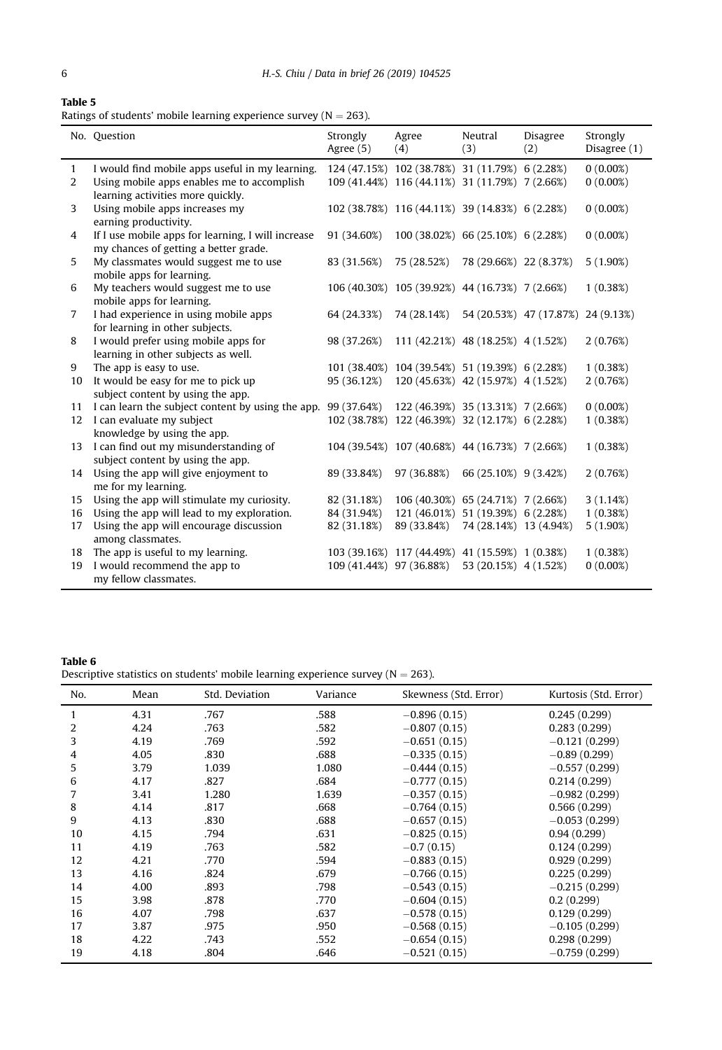<span id="page-5-0"></span>

| Table 5 |  |  |
|---------|--|--|
|         |  |  |

| Ratings of students' mobile learning experience survey (N $=$ 263). |  |  |  |  |  |  |  |
|---------------------------------------------------------------------|--|--|--|--|--|--|--|
|---------------------------------------------------------------------|--|--|--|--|--|--|--|

|                | No. Question                                                                                     | Strongly<br>Agree (5) | Agree<br>(4)                                    | Neutral<br>(3)         | Disagree<br>(2)                    | Strongly<br>Disagree (1) |
|----------------|--------------------------------------------------------------------------------------------------|-----------------------|-------------------------------------------------|------------------------|------------------------------------|--------------------------|
| $\mathbf{1}$   | I would find mobile apps useful in my learning.                                                  |                       | 124 (47.15%) 102 (38.78%) 31 (11.79%) 6 (2.28%) |                        |                                    | $0(0.00\%)$              |
| 2              | Using mobile apps enables me to accomplish                                                       |                       | 109 (41.44%) 116 (44.11%) 31 (11.79%) 7 (2.66%) |                        |                                    | $0(0.00\%)$              |
|                | learning activities more quickly.                                                                |                       |                                                 |                        |                                    |                          |
| 3              | Using mobile apps increases my                                                                   |                       | 102 (38.78%) 116 (44.11%) 39 (14.83%) 6 (2.28%) |                        |                                    | $0(0.00\%)$              |
|                | earning productivity.                                                                            |                       |                                                 |                        |                                    |                          |
| 4              | If I use mobile apps for learning, I will increase<br>my chances of getting a better grade.      | 91 (34.60%)           | 100 (38.02%) 66 (25.10%) 6 (2.28%)              |                        |                                    | $0(0.00\%)$              |
| 5              | My classmates would suggest me to use                                                            | 83 (31.56%)           | 75 (28.52%)                                     | 78 (29.66%) 22 (8.37%) |                                    | $5(1.90\%)$              |
|                | mobile apps for learning.                                                                        |                       |                                                 |                        |                                    |                          |
| 6              | My teachers would suggest me to use                                                              |                       | 106 (40.30%) 105 (39.92%) 44 (16.73%) 7 (2.66%) |                        |                                    | 1(0.38%)                 |
|                | mobile apps for learning.                                                                        |                       |                                                 |                        |                                    |                          |
| $\overline{7}$ | I had experience in using mobile apps                                                            | 64 (24.33%)           | 74 (28.14%)                                     |                        | 54 (20.53%) 47 (17.87%) 24 (9.13%) |                          |
|                | for learning in other subjects.                                                                  |                       |                                                 |                        |                                    |                          |
| 8              | I would prefer using mobile apps for                                                             | 98 (37.26%)           | 111 (42.21%) 48 (18.25%) 4 (1.52%)              |                        |                                    | 2(0.76%)                 |
|                | learning in other subjects as well.                                                              |                       |                                                 |                        |                                    |                          |
| 9              | The app is easy to use.                                                                          |                       | 101 (38.40%) 104 (39.54%) 51 (19.39%) 6 (2.28%) |                        |                                    | 1(0.38%)                 |
| 10             | It would be easy for me to pick up                                                               | 95 (36.12%)           | 120 (45.63%) 42 (15.97%) 4 (1.52%)              |                        |                                    | 2(0.76%)                 |
|                | subject content by using the app.                                                                |                       |                                                 |                        |                                    |                          |
| 11             | I can learn the subject content by using the app. 99 (37.64%) 122 (46.39%) 35 (13.31%) 7 (2.66%) |                       |                                                 |                        |                                    | $0(0.00\%)$              |
| 12             | I can evaluate my subject                                                                        |                       | 102 (38.78%) 122 (46.39%) 32 (12.17%) 6 (2.28%) |                        |                                    | 1(0.38%)                 |
|                | knowledge by using the app.                                                                      |                       |                                                 |                        |                                    |                          |
| 13             | I can find out my misunderstanding of                                                            |                       | 104 (39.54%) 107 (40.68%) 44 (16.73%) 7 (2.66%) |                        |                                    | 1(0.38%)                 |
|                | subject content by using the app.                                                                |                       |                                                 |                        |                                    |                          |
| 14             | Using the app will give enjoyment to                                                             | 89 (33.84%)           | 97 (36.88%)                                     | 66 (25.10%) 9 (3.42%)  |                                    | 2(0.76%)                 |
|                | me for my learning.                                                                              |                       |                                                 |                        |                                    |                          |
| 15             | Using the app will stimulate my curiosity.                                                       | 82 (31.18%)           | 106 (40.30%) 65 (24.71%) 7 (2.66%)              |                        |                                    | 3(1.14%)                 |
| 16             | Using the app will lead to my exploration.                                                       | 84 (31.94%)           | 121 (46.01%) 51 (19.39%) 6 (2.28%)              |                        |                                    | 1(0.38%)                 |
| 17             | Using the app will encourage discussion                                                          | 82 (31.18%)           | 89 (33.84%)                                     | 74 (28.14%) 13 (4.94%) |                                    | $5(1.90\%)$              |
|                | among classmates.                                                                                |                       |                                                 |                        |                                    |                          |
| 18             | The app is useful to my learning.                                                                |                       | 103 (39.16%) 117 (44.49%) 41 (15.59%) 1 (0.38%) |                        |                                    | 1(0.38%)                 |
| 19             | I would recommend the app to                                                                     |                       | 109 (41.44%) 97 (36.88%)                        | 53 (20.15%) 4 (1.52%)  |                                    | $0(0.00\%)$              |
|                | my fellow classmates.                                                                            |                       |                                                 |                        |                                    |                          |

# Table 6

Descriptive statistics on students' mobile learning experience survey ( $N = 263$ ).

| No. | Mean | Std. Deviation | Variance | Skewness (Std. Error) | Kurtosis (Std. Error) |
|-----|------|----------------|----------|-----------------------|-----------------------|
| 1   | 4.31 | .767           | .588     | $-0.896(0.15)$        | 0.245(0.299)          |
| 2   | 4.24 | .763           | .582     | $-0.807(0.15)$        | 0.283(0.299)          |
| 3   | 4.19 | .769           | .592     | $-0.651(0.15)$        | $-0.121(0.299)$       |
| 4   | 4.05 | .830           | .688     | $-0.335(0.15)$        | $-0.89(0.299)$        |
| 5   | 3.79 | 1.039          | 1.080    | $-0.444(0.15)$        | $-0.557(0.299)$       |
| 6   | 4.17 | .827           | .684     | $-0.777(0.15)$        | 0.214(0.299)          |
| 7   | 3.41 | 1.280          | 1.639    | $-0.357(0.15)$        | $-0.982(0.299)$       |
| 8   | 4.14 | .817           | .668     | $-0.764(0.15)$        | 0.566(0.299)          |
| 9   | 4.13 | .830           | .688     | $-0.657(0.15)$        | $-0.053(0.299)$       |
| 10  | 4.15 | .794           | .631     | $-0.825(0.15)$        | 0.94(0.299)           |
| 11  | 4.19 | .763           | .582     | $-0.7(0.15)$          | 0.124(0.299)          |
| 12  | 4.21 | .770           | .594     | $-0.883(0.15)$        | 0.929(0.299)          |
| 13  | 4.16 | .824           | .679     | $-0.766(0.15)$        | 0.225(0.299)          |
| 14  | 4.00 | .893           | .798     | $-0.543(0.15)$        | $-0.215(0.299)$       |
| 15  | 3.98 | .878           | .770     | $-0.604(0.15)$        | 0.2(0.299)            |
| 16  | 4.07 | .798           | .637     | $-0.578(0.15)$        | 0.129(0.299)          |
| 17  | 3.87 | .975           | .950     | $-0.568(0.15)$        | $-0.105(0.299)$       |
| 18  | 4.22 | .743           | .552     | $-0.654(0.15)$        | 0.298(0.299)          |
| 19  | 4.18 | .804           | .646     | $-0.521(0.15)$        | $-0.759(0.299)$       |